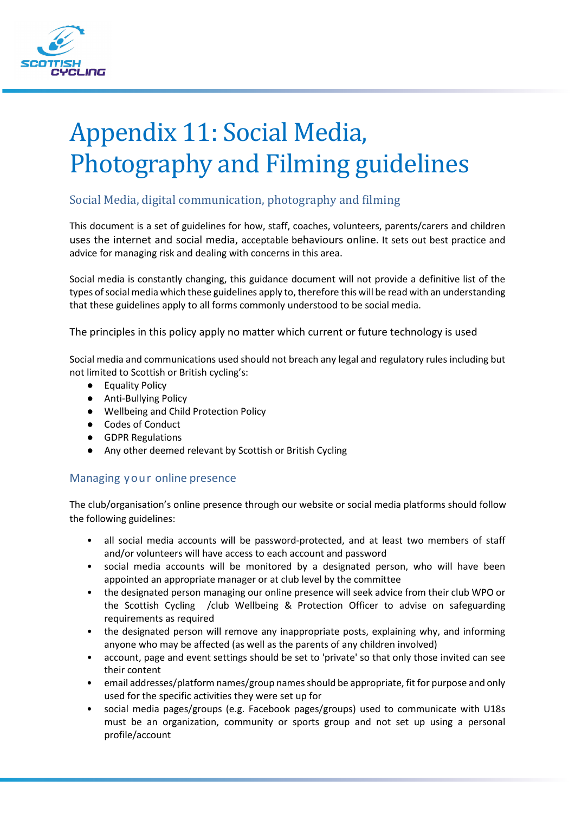

# Appendix 11: Social Media, Photography and Filming guidelines

# Social Media, digital communication, photography and filming

This document is a set of guidelines for how, staff, coaches, volunteers, parents/carers and children uses the internet and social media, acceptable behaviours online. It sets out best practice and advice for managing risk and dealing with concerns in this area.

Social media is constantly changing, this guidance document will not provide a definitive list of the types of social media which these guidelines apply to, therefore this will be read with an understanding that these guidelines apply to all forms commonly understood to be social media.

The principles in this policy apply no matter which current or future technology is used

Social media and communications used should not breach any legal and regulatory rules including but not limited to Scottish or British cycling's:

- Equality Policy
- Anti-Bullying Policy
- Wellbeing and Child Protection Policy
- Codes of Conduct
- GDPR Regulations
- Any other deemed relevant by Scottish or British Cycling

### Managing your online presence

The club/organisation's online presence through our website or social media platforms should follow the following guidelines:

- all social media accounts will be password-protected, and at least two members of staff and/or volunteers will have access to each account and password
- social media accounts will be monitored by a designated person, who will have been appointed an appropriate manager or at club level by the committee
- the designated person managing our online presence will seek advice from their club WPO or the Scottish Cycling /club Wellbeing & Protection Officer to advise on safeguarding requirements as required
- the designated person will remove any inappropriate posts, explaining why, and informing anyone who may be affected (as well as the parents of any children involved)
- account, page and event settings should be set to 'private' so that only those invited can see their content
- email addresses/platform names/group names should be appropriate, fit for purpose and only used for the specific activities they were set up for
- social media pages/groups (e.g. Facebook pages/groups) used to communicate with U18s must be an organization, community or sports group and not set up using a personal profile/account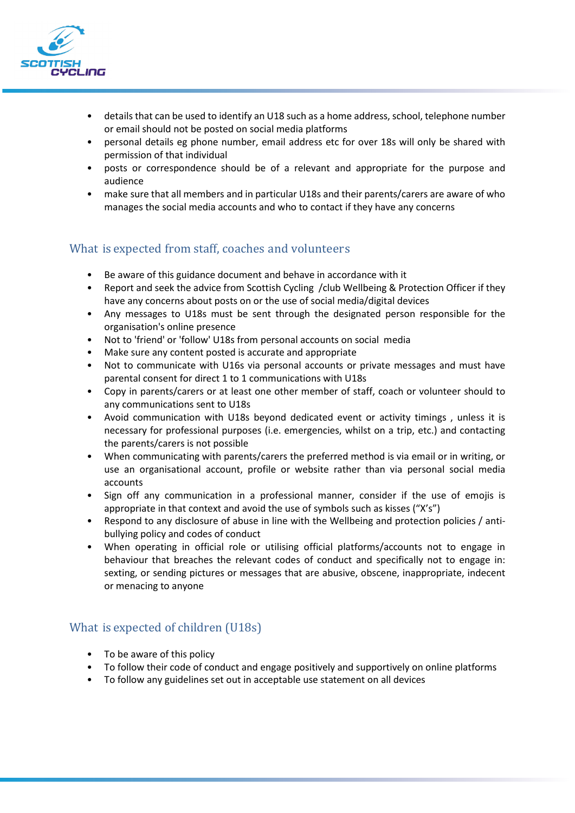

- details that can be used to identify an U18 such as a home address, school, telephone number or email should not be posted on social media platforms
- personal details eg phone number, email address etc for over 18s will only be shared with permission of that individual
- posts or correspondence should be of a relevant and appropriate for the purpose and audience
- make sure that all members and in particular U18s and their parents/carers are aware of who manages the social media accounts and who to contact if they have any concerns

# What is expected from staff, coaches and volunteers

- Be aware of this guidance document and behave in accordance with it
- Report and seek the advice from Scottish Cycling /club Wellbeing & Protection Officer if they have any concerns about posts on or the use of social media/digital devices
- Any messages to U18s must be sent through the designated person responsible for the organisation's online presence
- Not to 'friend' or 'follow' U18s from personal accounts on social media
- Make sure any content posted is accurate and appropriate
- Not to communicate with U16s via personal accounts or private messages and must have parental consent for direct 1 to 1 communications with U18s
- Copy in parents/carers or at least one other member of staff, coach or volunteer should to any communications sent to U18s
- Avoid communication with U18s beyond dedicated event or activity timings , unless it is necessary for professional purposes (i.e. emergencies, whilst on a trip, etc.) and contacting the parents/carers is not possible
- When communicating with parents/carers the preferred method is via email or in writing, or use an organisational account, profile or website rather than via personal social media accounts
- Sign off any communication in a professional manner, consider if the use of emojis is appropriate in that context and avoid the use of symbols such as kisses ("X's")
- Respond to any disclosure of abuse in line with the Wellbeing and protection policies / antibullying policy and codes of conduct
- When operating in official role or utilising official platforms/accounts not to engage in behaviour that breaches the relevant codes of conduct and specifically not to engage in: sexting, or sending pictures or messages that are abusive, obscene, inappropriate, indecent or menacing to anyone

### What is expected of children (U18s)

- To be aware of this policy
- To follow their code of conduct and engage positively and supportively on online platforms
- To follow any guidelines set out in acceptable use statement on all devices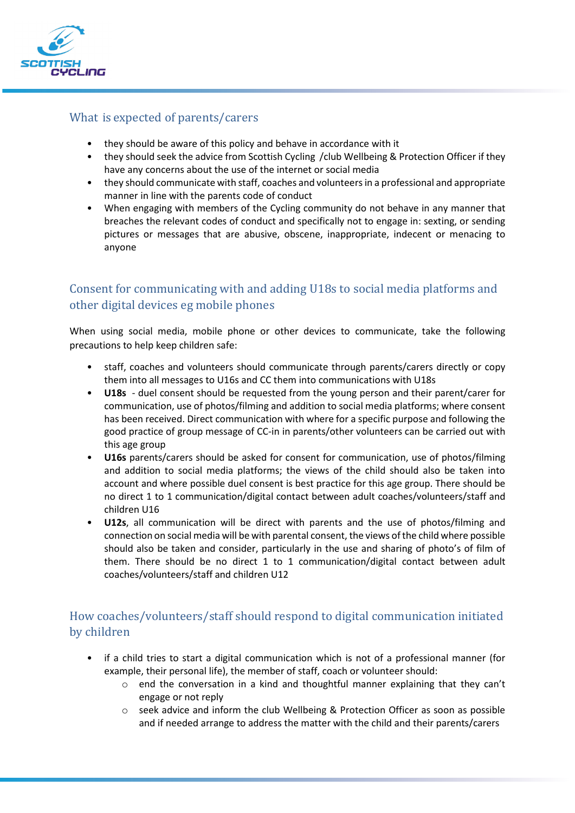

### What is expected of parents/carers

- they should be aware of this policy and behave in accordance with it
- they should seek the advice from Scottish Cycling /club Wellbeing & Protection Officer if they have any concerns about the use of the internet or social media
- they should communicate with staff, coaches and volunteers in a professional and appropriate manner in line with the parents code of conduct
- When engaging with members of the Cycling community do not behave in any manner that breaches the relevant codes of conduct and specifically not to engage in: sexting, or sending pictures or messages that are abusive, obscene, inappropriate, indecent or menacing to anyone

# Consent for communicating with and adding U18s to social media platforms and other digital devices eg mobile phones

When using social media, mobile phone or other devices to communicate, take the following precautions to help keep children safe:

- staff, coaches and volunteers should communicate through parents/carers directly or copy them into all messages to U16s and CC them into communications with U18s
- **U18s** duel consent should be requested from the young person and their parent/carer for communication, use of photos/filming and addition to social media platforms; where consent has been received. Direct communication with where for a specific purpose and following the good practice of group message of CC-in in parents/other volunteers can be carried out with this age group
- **U16s** parents/carers should be asked for consent for communication, use of photos/filming and addition to social media platforms; the views of the child should also be taken into account and where possible duel consent is best practice for this age group. There should be no direct 1 to 1 communication/digital contact between adult coaches/volunteers/staff and children U16
- **U12s**, all communication will be direct with parents and the use of photos/filming and connection on social media will be with parental consent, the views of the child where possible should also be taken and consider, particularly in the use and sharing of photo's of film of them. There should be no direct 1 to 1 communication/digital contact between adult coaches/volunteers/staff and children U12

# How coaches/volunteers/staff should respond to digital communication initiated by children

- if a child tries to start a digital communication which is not of a professional manner (for example, their personal life), the member of staff, coach or volunteer should:
	- $\circ$  end the conversation in a kind and thoughtful manner explaining that they can't engage or not reply
	- o seek advice and inform the club Wellbeing & Protection Officer as soon as possible and if needed arrange to address the matter with the child and their parents/carers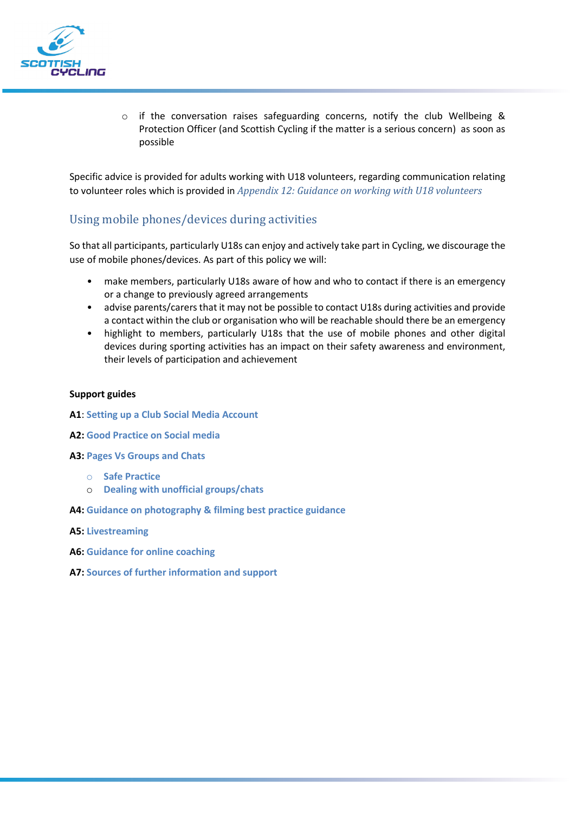

o if the conversation raises safeguarding concerns, notify the club Wellbeing & Protection Officer (and Scottish Cycling if the matter is a serious concern) as soon as possible

Specific advice is provided for adults working with U18 volunteers, regarding communication relating to volunteer roles which is provided in *Appendix 12: Guidance on working with U18 volunteers*

### Using mobile phones/devices during activities

So that all participants, particularly U18s can enjoy and actively take part in Cycling, we discourage the use of mobile phones/devices. As part of this policy we will:

- make members, particularly U18s aware of how and who to contact if there is an emergency or a change to previously agreed arrangements
- advise parents/carers that it may not be possible to contact U18s during activities and provide a contact within the club or organisation who will be reachable should there be an emergency
- highlight to members, particularly U18s that the use of mobile phones and other digital devices during sporting activities has an impact on their safety awareness and environment, their levels of participation and achievement

#### **Support guides**

- **A1**: **Setting up a Club Social Media Account**
- **A2: Good Practice on Social media**
- **A3: Pages Vs Groups and Chats**
	- o **Safe Practice**
	- o **Dealing with unofficial groups/chats**
- **A4: Guidance on photography & filming best practice guidance**
- **A5: Livestreaming**
- **A6: Guidance for online coaching**
- **A7: Sources of further information and support**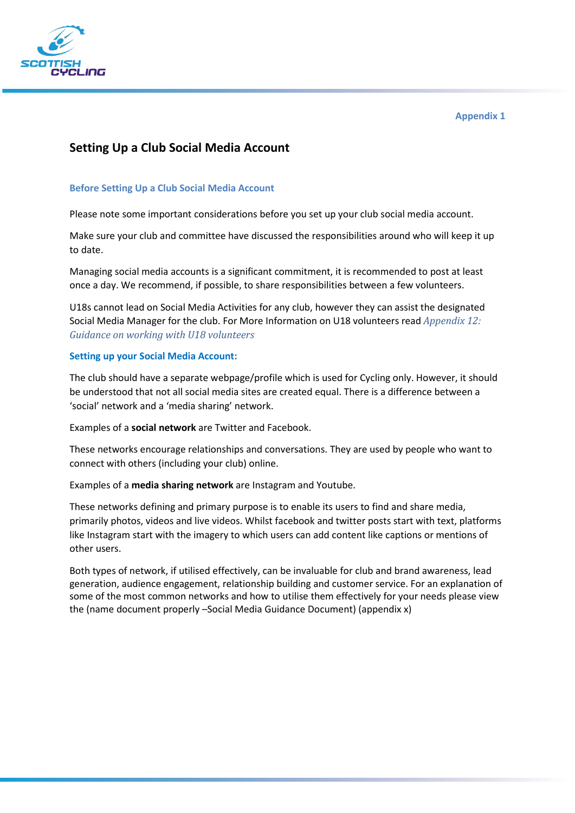

# **Setting Up a Club Social Media Account**

### **Before Setting Up a Club Social Media Account**

Please note some important considerations before you set up your club social media account.

Make sure your club and committee have discussed the responsibilities around who will keep it up to date.

Managing social media accounts is a significant commitment, it is recommended to post at least once a day. We recommend, if possible, to share responsibilities between a few volunteers.

U18s cannot lead on Social Media Activities for any club, however they can assist the designated Social Media Manager for the club. For More Information on U18 volunteers read *Appendix 12: Guidance on working with U18 volunteers*

### **Setting up your Social Media Account:**

The club should have a separate webpage/profile which is used for Cycling only. However, it should be understood that not all social media sites are created equal. There is a difference between a 'social' network and a 'media sharing' network.

Examples of a **social network** are Twitter and Facebook.

These networks encourage relationships and conversations. They are used by people who want to connect with others (including your club) online.

Examples of a **media sharing network** are Instagram and Youtube.

These networks defining and primary purpose is to enable its users to find and share media, primarily photos, videos and live videos. Whilst facebook and twitter posts start with text, platforms like Instagram start with the imagery to which users can add content like captions or mentions of other users.

Both types of network, if utilised effectively, can be invaluable for club and brand awareness, lead generation, audience engagement, relationship building and customer service. For an explanation of some of the most common networks and how to utilise them effectively for your needs please view the (name document properly –Social Media Guidance Document) (appendix x)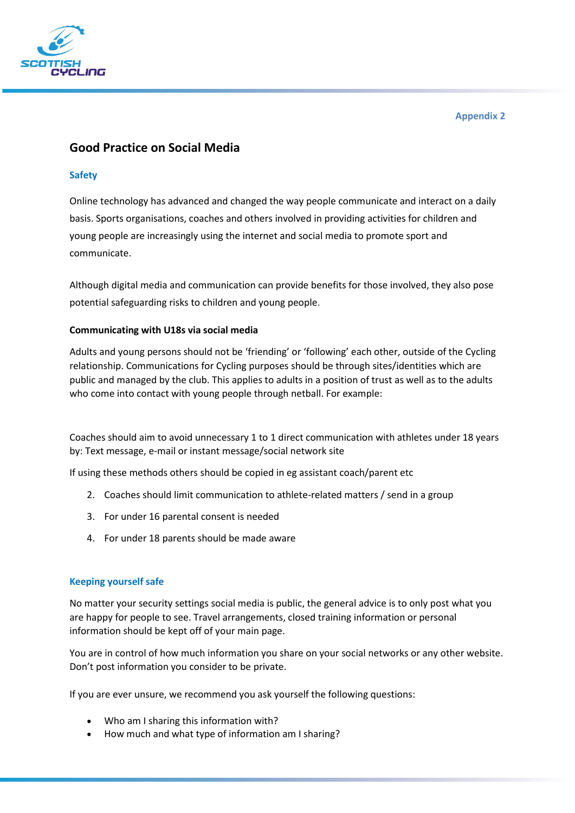

# **Good Practice on Social Media**

### **Safety**

Online technology has advanced and changed the way people communicate and interact on a daily basis. Sports organisations, coaches and others involved in providing activities for children and young people are increasingly using the internet and social media to promote sport and communicate.

Although digital media and communication can provide benefits for those involved, they also pose potential safeguarding risks to children and young people.

### **Communicating with U18s via social media**

Adults and young persons should not be 'friending' or 'following' each other, outside of the Cycling relationship. Communications for Cycling purposes should be through sites/identities which are public and managed by the club. This applies to adults in a position of trust as well as to the adults who come into contact with young people through netball. For example:

Coaches should aim to avoid unnecessary 1 to 1 direct communication with athletes under 18 years by: Text message, e-mail or instant message/social network site

If using these methods others should be copied in eg assistant coach/parent etc

- 2. Coaches should limit communication to athlete-related matters / send in a group
- 3. For under 16 parental consent is needed
- 4. For under 18 parents should be made aware

### **Keeping yourself safe**

No matter your security settings social media is public, the general advice is to only post what you are happy for people to see. Travel arrangements, closed training information or personal information should be kept off of your main page.

You are in control of how much information you share on your social networks or any other website. Don't post information you consider to be private.

If you are ever unsure, we recommend you ask yourself the following questions:

- Who am I sharing this information with?
- How much and what type of information am I sharing?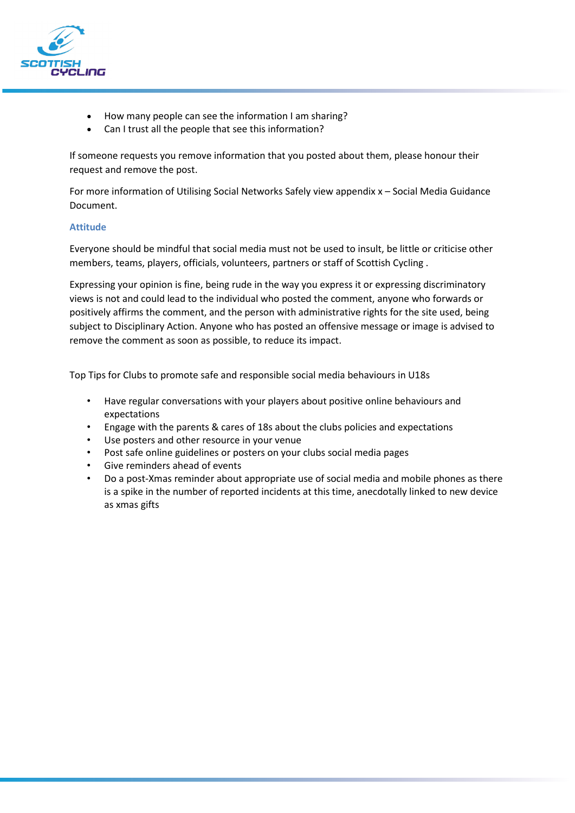

- How many people can see the information I am sharing?
- Can I trust all the people that see this information?

If someone requests you remove information that you posted about them, please honour their request and remove the post.

For more information of Utilising Social Networks Safely view appendix x – Social Media Guidance Document.

### **Attitude**

Everyone should be mindful that social media must not be used to insult, be little or criticise other members, teams, players, officials, volunteers, partners or staff of Scottish Cycling .

Expressing your opinion is fine, being rude in the way you express it or expressing discriminatory views is not and could lead to the individual who posted the comment, anyone who forwards or positively affirms the comment, and the person with administrative rights for the site used, being subject to Disciplinary Action. Anyone who has posted an offensive message or image is advised to remove the comment as soon as possible, to reduce its impact.

Top Tips for Clubs to promote safe and responsible social media behaviours in U18s

- Have regular conversations with your players about positive online behaviours and expectations
- Engage with the parents & cares of 18s about the clubs policies and expectations
- Use posters and other resource in your venue
- Post safe online guidelines or posters on your clubs social media pages
- Give reminders ahead of events
- Do a post-Xmas reminder about appropriate use of social media and mobile phones as there is a spike in the number of reported incidents at this time, anecdotally linked to new device as xmas gifts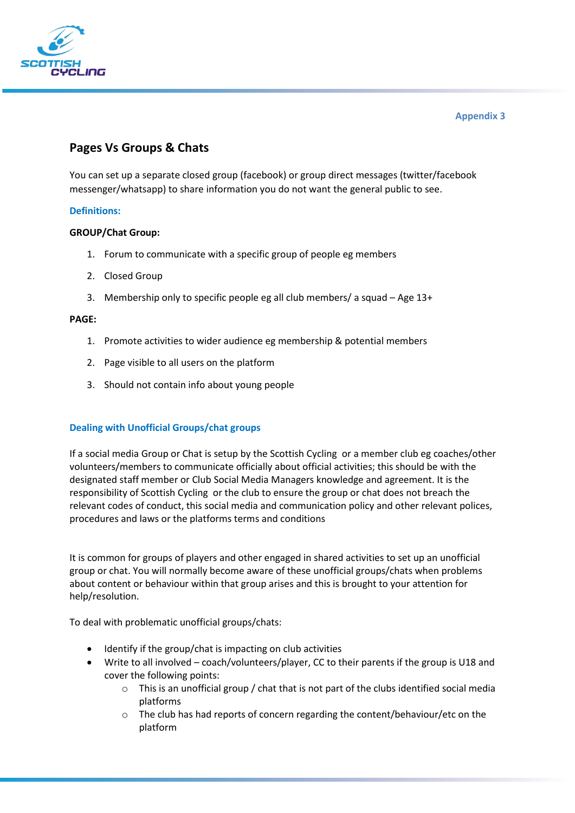

# **Pages Vs Groups & Chats**

You can set up a separate closed group (facebook) or group direct messages (twitter/facebook messenger/whatsapp) to share information you do not want the general public to see.

### **Definitions:**

### **GROUP/Chat Group:**

- 1. Forum to communicate with a specific group of people eg members
- 2. Closed Group
- 3. Membership only to specific people eg all club members/ a squad Age 13+

#### **PAGE:**

- 1. Promote activities to wider audience eg membership & potential members
- 2. Page visible to all users on the platform
- 3. Should not contain info about young people

### **Dealing with Unofficial Groups/chat groups**

If a social media Group or Chat is setup by the Scottish Cycling or a member club eg coaches/other volunteers/members to communicate officially about official activities; this should be with the designated staff member or Club Social Media Managers knowledge and agreement. It is the responsibility of Scottish Cycling or the club to ensure the group or chat does not breach the relevant codes of conduct, this social media and communication policy and other relevant polices, procedures and laws or the platforms terms and conditions

It is common for groups of players and other engaged in shared activities to set up an unofficial group or chat. You will normally become aware of these unofficial groups/chats when problems about content or behaviour within that group arises and this is brought to your attention for help/resolution.

To deal with problematic unofficial groups/chats:

- Identify if the group/chat is impacting on club activities
- Write to all involved coach/volunteers/player, CC to their parents if the group is U18 and cover the following points:
	- $\circ$  This is an unofficial group / chat that is not part of the clubs identified social media platforms
	- $\circ$  The club has had reports of concern regarding the content/behaviour/etc on the platform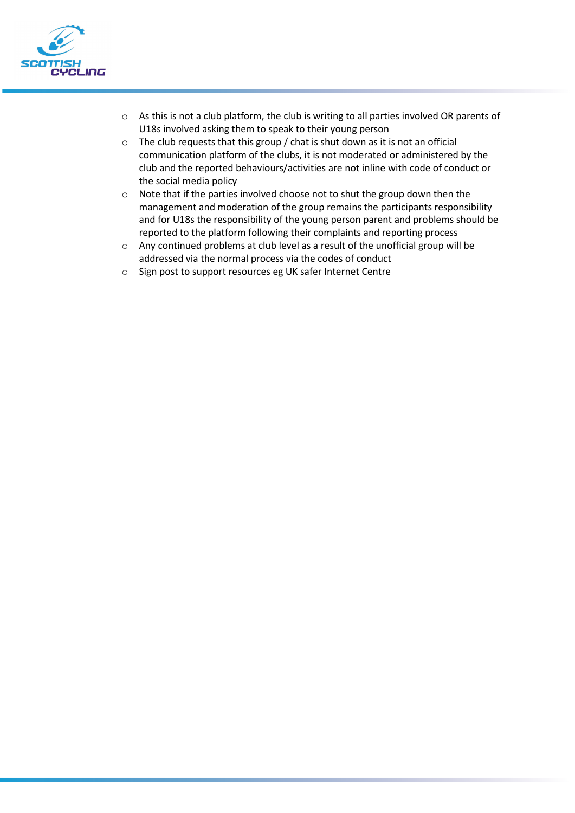

- o As this is not a club platform, the club is writing to all parties involved OR parents of U18s involved asking them to speak to their young person
- o The club requests that this group / chat is shut down as it is not an official communication platform of the clubs, it is not moderated or administered by the club and the reported behaviours/activities are not inline with code of conduct or the social media policy
- o Note that if the parties involved choose not to shut the group down then the management and moderation of the group remains the participants responsibility and for U18s the responsibility of the young person parent and problems should be reported to the platform following their complaints and reporting process
- o Any continued problems at club level as a result of the unofficial group will be addressed via the normal process via the codes of conduct
- o Sign post to support resources eg UK safer Internet Centre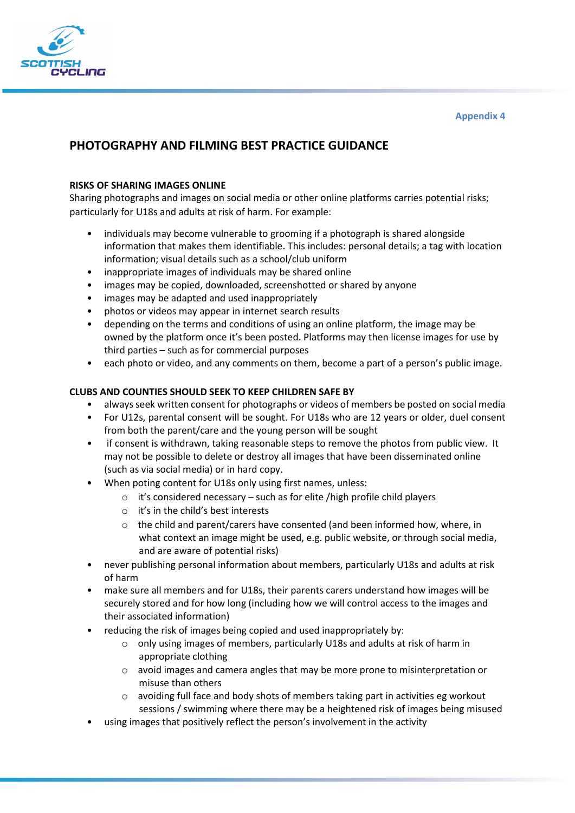

# **PHOTOGRAPHY AND FILMING BEST PRACTICE GUIDANCE**

### **RISKS OF SHARING IMAGES ONLINE**

Sharing photographs and images on social media or other online platforms carries potential risks; particularly for U18s and adults at risk of harm. For example:

- individuals may become vulnerable to grooming if a photograph is shared alongside information that makes them identifiable. This includes: personal details; a tag with location information; visual details such as a school/club uniform
- inappropriate images of individuals may be shared online
- images may be copied, downloaded, screenshotted or shared by anyone
- images may be adapted and used inappropriately
- photos or videos may appear in internet search results
- depending on the terms and conditions of using an online platform, the image may be owned by the platform once it's been posted. Platforms may then license images for use by third parties – such as for commercial purposes
- each photo or video, and any comments on them, become a part of a person's public image.

### **CLUBS AND COUNTIES SHOULD SEEK TO KEEP CHILDREN SAFE BY**

- always seek written consent for photographs or videos of members be posted on social media
- For U12s, parental consent will be sought. For U18s who are 12 years or older, duel consent from both the parent/care and the young person will be sought
- if consent is withdrawn, taking reasonable steps to remove the photos from public view. It may not be possible to delete or destroy all images that have been disseminated online (such as via social media) or in hard copy.
- When poting content for U18s only using first names, unless:
	- o it's considered necessary such as for elite /high profile child players
	- o it's in the child's best interests
	- $\circ$  the child and parent/carers have consented (and been informed how, where, in what context an image might be used, e.g. public website, or through social media, and are aware of potential risks)
- never publishing personal information about members, particularly U18s and adults at risk of harm
- make sure all members and for U18s, their parents carers understand how images will be securely stored and for how long (including how we will control access to the images and their associated information)
- reducing the risk of images being copied and used inappropriately by:
	- o only using images of members, particularly U18s and adults at risk of harm in appropriate clothing
	- o avoid images and camera angles that may be more prone to misinterpretation or misuse than others
	- $\circ$  avoiding full face and body shots of members taking part in activities eg workout sessions / swimming where there may be a heightened risk of images being misused
- using images that positively reflect the person's involvement in the activity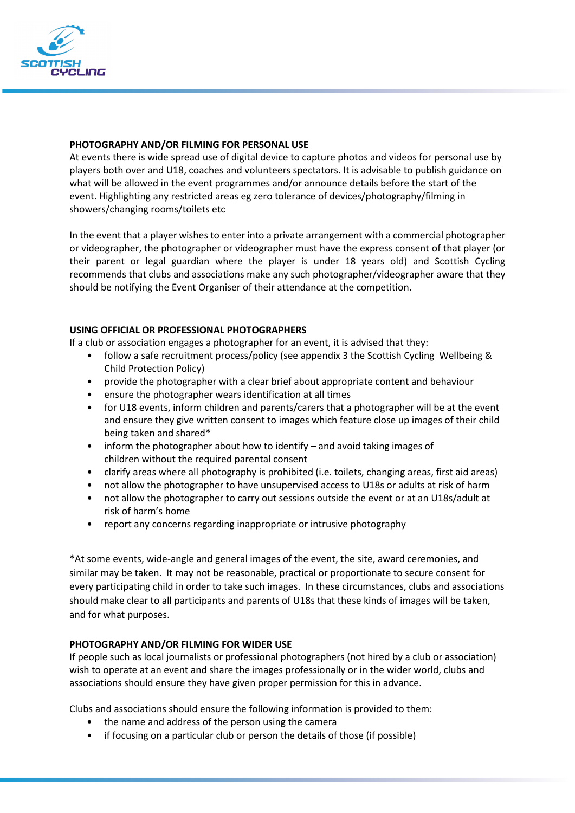

#### **PHOTOGRAPHY AND/OR FILMING FOR PERSONAL USE**

At events there is wide spread use of digital device to capture photos and videos for personal use by players both over and U18, coaches and volunteers spectators. It is advisable to publish guidance on what will be allowed in the event programmes and/or announce details before the start of the event. Highlighting any restricted areas eg zero tolerance of devices/photography/filming in showers/changing rooms/toilets etc

In the event that a player wishes to enter into a private arrangement with a commercial photographer or videographer, the photographer or videographer must have the express consent of that player (or their parent or legal guardian where the player is under 18 years old) and Scottish Cycling recommends that clubs and associations make any such photographer/videographer aware that they should be notifying the Event Organiser of their attendance at the competition.

### **USING OFFICIAL OR PROFESSIONAL PHOTOGRAPHERS**

If a club or association engages a photographer for an event, it is advised that they:

- follow a safe recruitment process/policy (see appendix 3 the Scottish Cycling Wellbeing & Child Protection Policy)
- provide the photographer with a clear brief about appropriate content and behaviour
- ensure the photographer wears identification at all times
- for U18 events, inform children and parents/carers that a photographer will be at the event and ensure they give written consent to images which feature close up images of their child being taken and shared\*
- inform the photographer about how to identify and avoid taking images of children without the required parental consent
- clarify areas where all photography is prohibited (i.e. toilets, changing areas, first aid areas)
- not allow the photographer to have unsupervised access to U18s or adults at risk of harm
- not allow the photographer to carry out sessions outside the event or at an U18s/adult at risk of harm's home
- report any concerns regarding inappropriate or intrusive photography

\*At some events, wide-angle and general images of the event, the site, award ceremonies, and similar may be taken. It may not be reasonable, practical or proportionate to secure consent for every participating child in order to take such images. In these circumstances, clubs and associations should make clear to all participants and parents of U18s that these kinds of images will be taken, and for what purposes.

### **PHOTOGRAPHY AND/OR FILMING FOR WIDER USE**

If people such as local journalists or professional photographers (not hired by a club or association) wish to operate at an event and share the images professionally or in the wider world, clubs and associations should ensure they have given proper permission for this in advance.

Clubs and associations should ensure the following information is provided to them:

- the name and address of the person using the camera
- if focusing on a particular club or person the details of those (if possible)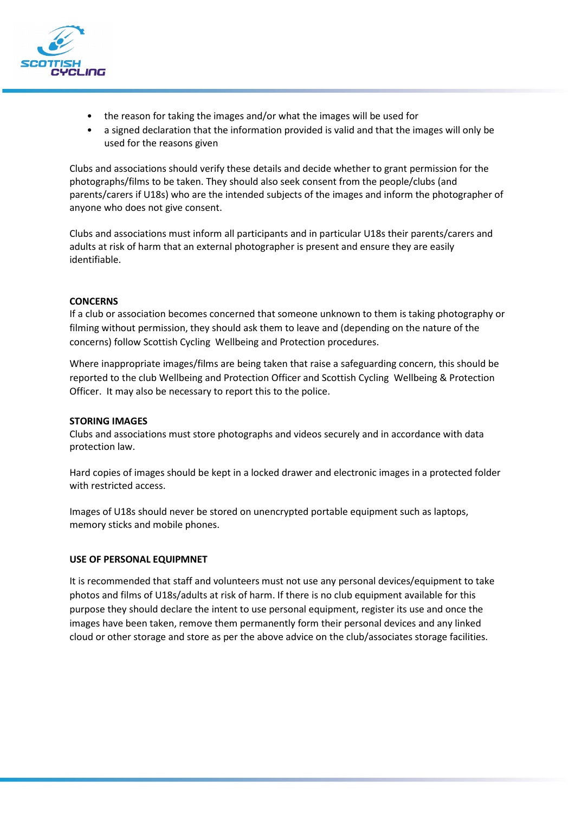

- the reason for taking the images and/or what the images will be used for
- a signed declaration that the information provided is valid and that the images will only be used for the reasons given

Clubs and associations should verify these details and decide whether to grant permission for the photographs/films to be taken. They should also seek consent from the people/clubs (and parents/carers if U18s) who are the intended subjects of the images and inform the photographer of anyone who does not give consent.

Clubs and associations must inform all participants and in particular U18s their parents/carers and adults at risk of harm that an external photographer is present and ensure they are easily identifiable.

#### **CONCERNS**

If a club or association becomes concerned that someone unknown to them is taking photography or filming without permission, they should ask them to leave and (depending on the nature of the concerns) follow Scottish Cycling Wellbeing and Protection procedures.

Where inappropriate images/films are being taken that raise a safeguarding concern, this should be reported to the club Wellbeing and Protection Officer and Scottish Cycling Wellbeing & Protection Officer. It may also be necessary to report this to the police.

#### **STORING IMAGES**

Clubs and associations must store photographs and videos securely and in accordance with data protection law.

Hard copies of images should be kept in a locked drawer and electronic images in a protected folder with restricted access.

Images of U18s should never be stored on unencrypted portable equipment such as laptops, memory sticks and mobile phones.

#### **USE OF PERSONAL EQUIPMNET**

It is recommended that staff and volunteers must not use any personal devices/equipment to take photos and films of U18s/adults at risk of harm. If there is no club equipment available for this purpose they should declare the intent to use personal equipment, register its use and once the images have been taken, remove them permanently form their personal devices and any linked cloud or other storage and store as per the above advice on the club/associates storage facilities.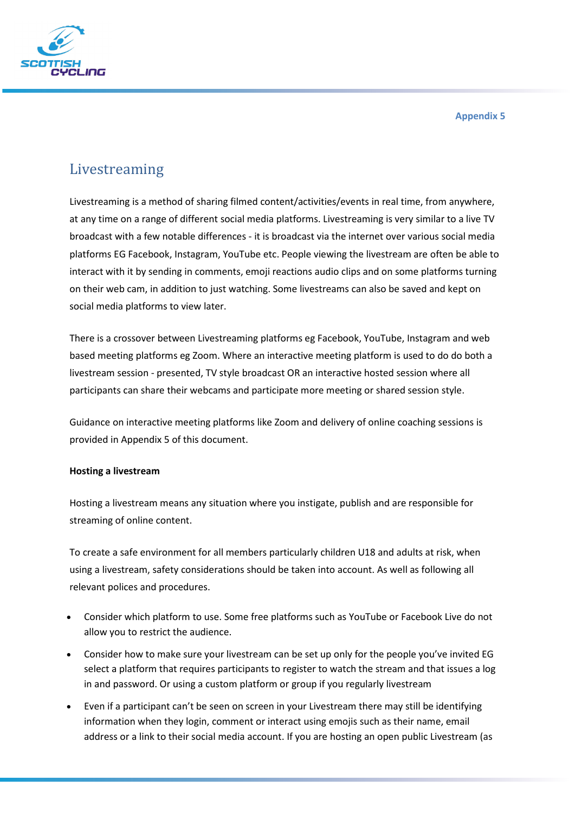

**Appendix 5**

# Livestreaming

Livestreaming is a method of sharing filmed content/activities/events in real time, from anywhere, at any time on a range of different social media platforms. Livestreaming is very similar to a live TV broadcast with a few notable differences - it is broadcast via the internet over various social media platforms EG Facebook, Instagram, YouTube etc. People viewing the livestream are often be able to interact with it by sending in comments, emoji reactions audio clips and on some platforms turning on their web cam, in addition to just watching. Some livestreams can also be saved and kept on social media platforms to view later.

There is a crossover between Livestreaming platforms eg Facebook, YouTube, Instagram and web based meeting platforms eg Zoom. Where an interactive meeting platform is used to do do both a livestream session - presented, TV style broadcast OR an interactive hosted session where all participants can share their webcams and participate more meeting or shared session style.

Guidance on interactive meeting platforms like Zoom and delivery of online coaching sessions is provided in Appendix 5 of this document.

### **Hosting a livestream**

Hosting a livestream means any situation where you instigate, publish and are responsible for streaming of online content.

To create a safe environment for all members particularly children U18 and adults at risk, when using a livestream, safety considerations should be taken into account. As well as following all relevant polices and procedures.

- Consider which platform to use. Some free platforms such as YouTube or Facebook Live do not allow you to restrict the audience.
- Consider how to make sure your livestream can be set up only for the people you've invited EG select a platform that requires participants to register to watch the stream and that issues a log in and password. Or using a custom platform or group if you regularly livestream
- Even if a participant can't be seen on screen in your Livestream there may still be identifying information when they login, comment or interact using emojis such as their name, email address or a link to their social media account. If you are hosting an open public Livestream (as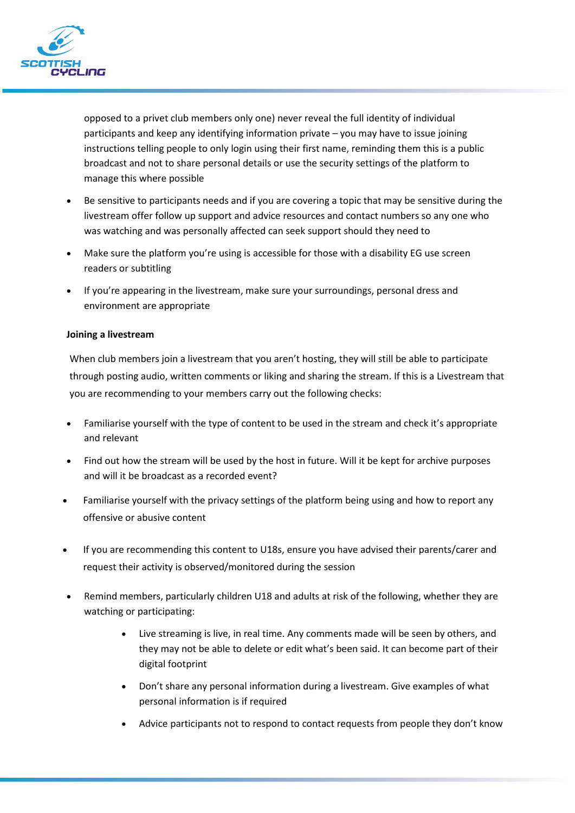

opposed to a privet club members only one) never reveal the full identity of individual participants and keep any identifying information private – you may have to issue joining instructions telling people to only login using their first name, reminding them this is a public broadcast and not to share personal details or use the security settings of the platform to manage this where possible

- Be sensitive to participants needs and if you are covering a topic that may be sensitive during the livestream offer follow up support and advice resources and contact numbers so any one who was watching and was personally affected can seek support should they need to
- Make sure the platform you're using is accessible for those with a disability EG use screen readers or subtitling
- If you're appearing in the livestream, make sure your surroundings, personal dress and environment are appropriate

### **Joining a livestream**

When club members join a livestream that you aren't hosting, they will still be able to participate through posting audio, written comments or liking and sharing the stream. If this is a Livestream that you are recommending to your members carry out the following checks:

- Familiarise yourself with the type of content to be used in the stream and check it's appropriate and relevant
- Find out how the stream will be used by the host in future. Will it be kept for archive purposes and will it be broadcast as a recorded event?
- Familiarise yourself with the privacy settings of the platform being using and how to report any offensive or abusive content
- If you are recommending this content to U18s, ensure you have advised their parents/carer and request their activity is observed/monitored during the session
- Remind members, particularly children U18 and adults at risk of the following, whether they are watching or participating:
	- Live streaming is live, in real time. Any comments made will be seen by others, and they may not be able to delete or edit what's been said. It can become part of their digital footprint
	- Don't share any personal information during a livestream. Give examples of what personal information is if required
	- Advice participants not to respond to contact requests from people they don't know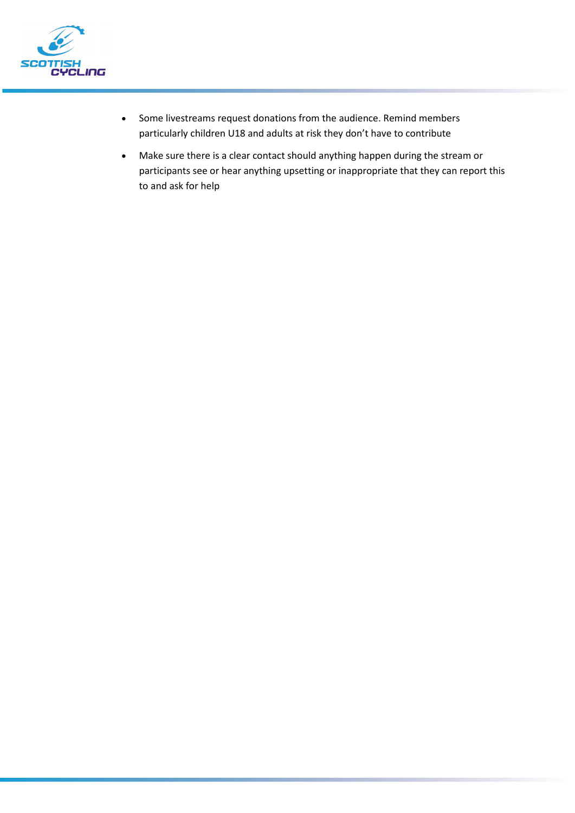

- Some livestreams request donations from the audience. Remind members particularly children U18 and adults at risk they don't have to contribute
- Make sure there is a clear contact should anything happen during the stream or participants see or hear anything upsetting or inappropriate that they can report this to and ask for help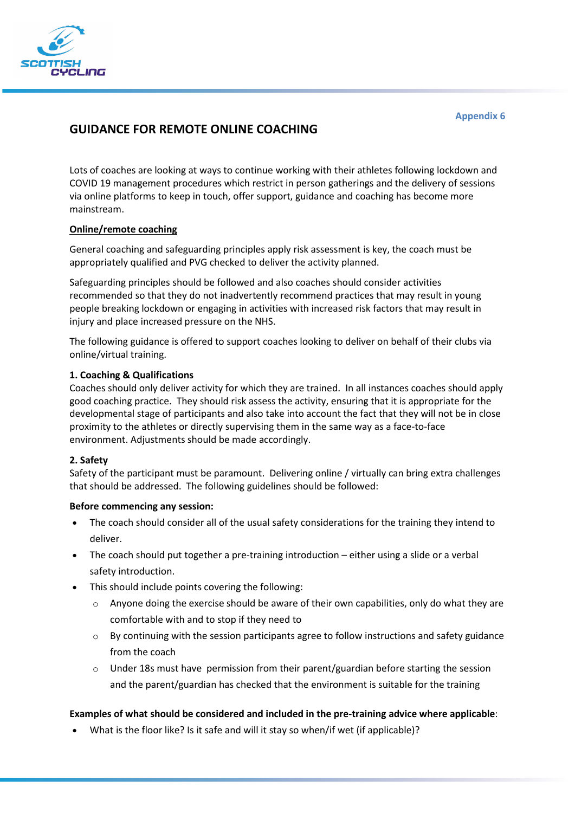

### **GUIDANCE FOR REMOTE ONLINE COACHING**

Lots of coaches are looking at ways to continue working with their athletes following lockdown and COVID 19 management procedures which restrict in person gatherings and the delivery of sessions via online platforms to keep in touch, offer support, guidance and coaching has become more mainstream.

### **Online/remote coaching**

General coaching and safeguarding principles apply risk assessment is key, the coach must be appropriately qualified and PVG checked to deliver the activity planned.

Safeguarding principles should be followed and also coaches should consider activities recommended so that they do not inadvertently recommend practices that may result in young people breaking lockdown or engaging in activities with increased risk factors that may result in injury and place increased pressure on the NHS.

The following guidance is offered to support coaches looking to deliver on behalf of their clubs via online/virtual training.

#### **1. Coaching & Qualifications**

Coaches should only deliver activity for which they are trained. In all instances coaches should apply good coaching practice. They should risk assess the activity, ensuring that it is appropriate for the developmental stage of participants and also take into account the fact that they will not be in close proximity to the athletes or directly supervising them in the same way as a face-to-face environment. Adjustments should be made accordingly.

#### **2. Safety**

Safety of the participant must be paramount. Delivering online / virtually can bring extra challenges that should be addressed. The following guidelines should be followed:

#### **Before commencing any session:**

- The coach should consider all of the usual safety considerations for the training they intend to deliver.
- The coach should put together a pre-training introduction either using a slide or a verbal safety introduction.
- This should include points covering the following:
	- $\circ$  Anyone doing the exercise should be aware of their own capabilities, only do what they are comfortable with and to stop if they need to
	- $\circ$  By continuing with the session participants agree to follow instructions and safety guidance from the coach
	- $\circ$  Under 18s must have permission from their parent/guardian before starting the session and the parent/guardian has checked that the environment is suitable for the training

#### **Examples of what should be considered and included in the pre-training advice where applicable**:

• What is the floor like? Is it safe and will it stay so when/if wet (if applicable)?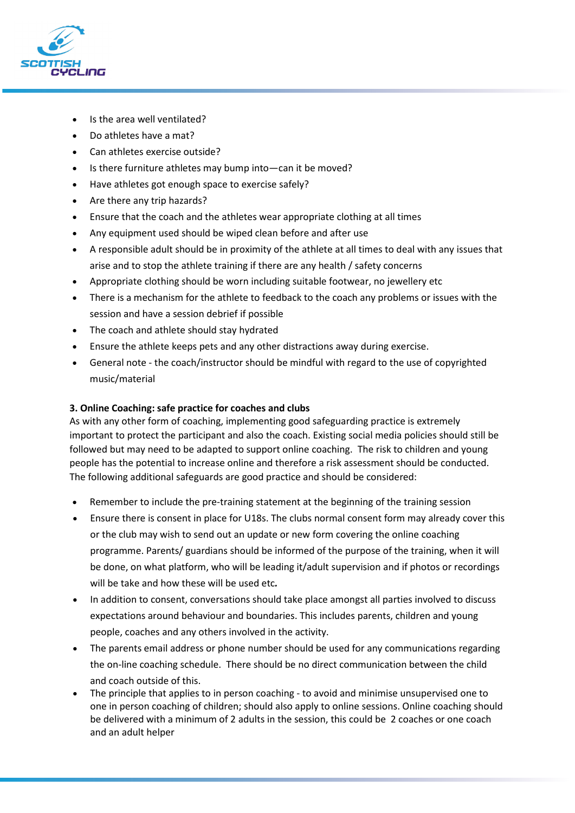

- Is the area well ventilated?
- Do athletes have a mat?
- Can athletes exercise outside?
- Is there furniture athletes may bump into—can it be moved?
- Have athletes got enough space to exercise safely?
- Are there any trip hazards?
- Ensure that the coach and the athletes wear appropriate clothing at all times
- Any equipment used should be wiped clean before and after use
- A responsible adult should be in proximity of the athlete at all times to deal with any issues that arise and to stop the athlete training if there are any health / safety concerns
- Appropriate clothing should be worn including suitable footwear, no jewellery etc
- There is a mechanism for the athlete to feedback to the coach any problems or issues with the session and have a session debrief if possible
- The coach and athlete should stay hydrated
- Ensure the athlete keeps pets and any other distractions away during exercise.
- General note the coach/instructor should be mindful with regard to the use of copyrighted music/material

### **3. Online Coaching: safe practice for coaches and clubs**

As with any other form of coaching, implementing good safeguarding practice is extremely important to protect the participant and also the coach. Existing social media policies should still be followed but may need to be adapted to support online coaching. The risk to children and young people has the potential to increase online and therefore a risk assessment should be conducted. The following additional safeguards are good practice and should be considered:

- Remember to include the pre-training statement at the beginning of the training session
- Ensure there is consent in place for U18s. The clubs normal consent form may already cover this or the club may wish to send out an update or new form covering the online coaching programme. Parents/ guardians should be informed of the purpose of the training, when it will be done, on what platform, who will be leading it/adult supervision and if photos or recordings will be take and how these will be used etc*.*
- In addition to consent, conversations should take place amongst all parties involved to discuss expectations around behaviour and boundaries. This includes parents, children and young people, coaches and any others involved in the activity.
- The parents email address or phone number should be used for any communications regarding the on-line coaching schedule. There should be no direct communication between the child and coach outside of this.
- The principle that applies to in person coaching to avoid and minimise unsupervised one to one in person coaching of children; should also apply to online sessions. Online coaching should be delivered with a minimum of 2 adults in the session, this could be 2 coaches or one coach and an adult helper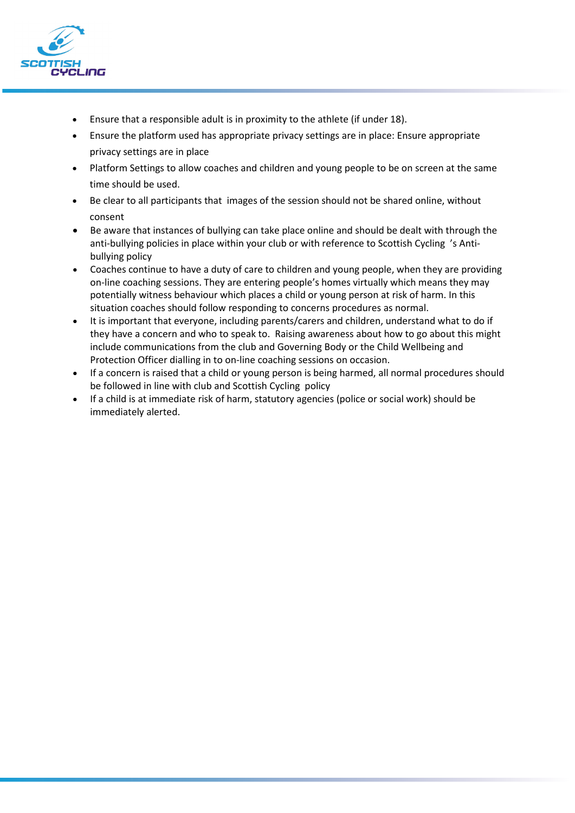

- Ensure that a responsible adult is in proximity to the athlete (if under 18).
- Ensure the platform used has appropriate privacy settings are in place: Ensure appropriate privacy settings are in place
- Platform Settings to allow coaches and children and young people to be on screen at the same time should be used.
- Be clear to all participants that images of the session should not be shared online, without consent
- Be aware that instances of bullying can take place online and should be dealt with through the anti-bullying policies in place within your club or with reference to Scottish Cycling 's Antibullying policy
- Coaches continue to have a duty of care to children and young people, when they are providing on-line coaching sessions. They are entering people's homes virtually which means they may potentially witness behaviour which places a child or young person at risk of harm. In this situation coaches should follow responding to concerns procedures as normal.
- It is important that everyone, including parents/carers and children, understand what to do if they have a concern and who to speak to. Raising awareness about how to go about this might include communications from the club and Governing Body or the Child Wellbeing and Protection Officer dialling in to on-line coaching sessions on occasion.
- If a concern is raised that a child or young person is being harmed, all normal procedures should be followed in line with club and Scottish Cycling policy
- If a child is at immediate risk of harm, statutory agencies (police or social work) should be immediately alerted.